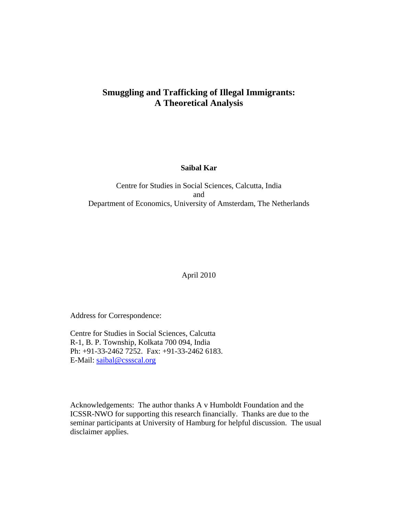## **Smuggling and Trafficking of Illegal Immigrants: A Theoretical Analysis**

**Saibal Kar** 

Centre for Studies in Social Sciences, Calcutta, India and Department of Economics, University of Amsterdam, The Netherlands

April 2010

Address for Correspondence:

Centre for Studies in Social Sciences, Calcutta R-1, B. P. Township, Kolkata 700 094, India Ph: +91-33-2462 7252. Fax: +91-33-2462 6183. E-Mail: saibal@cssscal.org

Acknowledgements: The author thanks A v Humboldt Foundation and the ICSSR-NWO for supporting this research financially. Thanks are due to the seminar participants at University of Hamburg for helpful discussion. The usual disclaimer applies.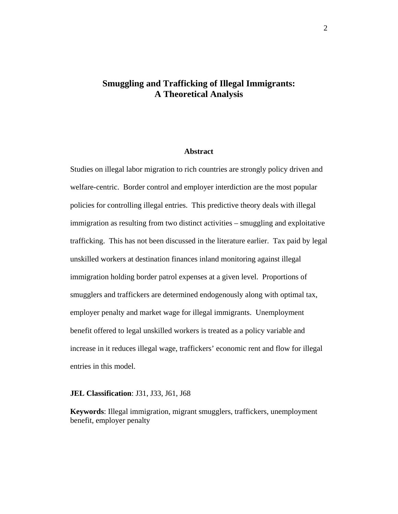## **Smuggling and Trafficking of Illegal Immigrants: A Theoretical Analysis**

#### **Abstract**

Studies on illegal labor migration to rich countries are strongly policy driven and welfare-centric. Border control and employer interdiction are the most popular policies for controlling illegal entries. This predictive theory deals with illegal immigration as resulting from two distinct activities – smuggling and exploitative trafficking. This has not been discussed in the literature earlier. Tax paid by legal unskilled workers at destination finances inland monitoring against illegal immigration holding border patrol expenses at a given level. Proportions of smugglers and traffickers are determined endogenously along with optimal tax, employer penalty and market wage for illegal immigrants. Unemployment benefit offered to legal unskilled workers is treated as a policy variable and increase in it reduces illegal wage, traffickers' economic rent and flow for illegal entries in this model.

#### **JEL Classification**: J31, J33, J61, J68

**Keywords**: Illegal immigration, migrant smugglers, traffickers, unemployment benefit, employer penalty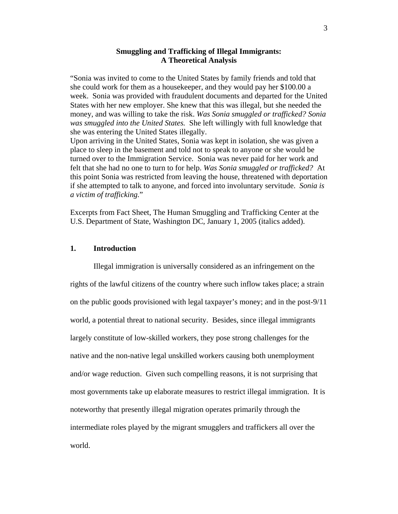#### **Smuggling and Trafficking of Illegal Immigrants: A Theoretical Analysis**

"Sonia was invited to come to the United States by family friends and told that she could work for them as a housekeeper, and they would pay her \$100.00 a week. Sonia was provided with fraudulent documents and departed for the United States with her new employer. She knew that this was illegal, but she needed the money, and was willing to take the risk. *Was Sonia smuggled or trafficked? Sonia was smuggled into the United States.* She left willingly with full knowledge that she was entering the United States illegally.

Upon arriving in the United States, Sonia was kept in isolation, she was given a place to sleep in the basement and told not to speak to anyone or she would be turned over to the Immigration Service. Sonia was never paid for her work and felt that she had no one to turn to for help. *Was Sonia smuggled or trafficked?* At this point Sonia was restricted from leaving the house, threatened with deportation if she attempted to talk to anyone, and forced into involuntary servitude. *Sonia is a victim of trafficking.*"

Excerpts from Fact Sheet, The Human Smuggling and Trafficking Center at the U.S. Department of State, Washington DC, January 1, 2005 (italics added).

#### **1. Introduction**

Illegal immigration is universally considered as an infringement on the rights of the lawful citizens of the country where such inflow takes place; a strain on the public goods provisioned with legal taxpayer's money; and in the post-9/11 world, a potential threat to national security. Besides, since illegal immigrants largely constitute of low-skilled workers, they pose strong challenges for the native and the non-native legal unskilled workers causing both unemployment and/or wage reduction. Given such compelling reasons, it is not surprising that most governments take up elaborate measures to restrict illegal immigration. It is noteworthy that presently illegal migration operates primarily through the intermediate roles played by the migrant smugglers and traffickers all over the world.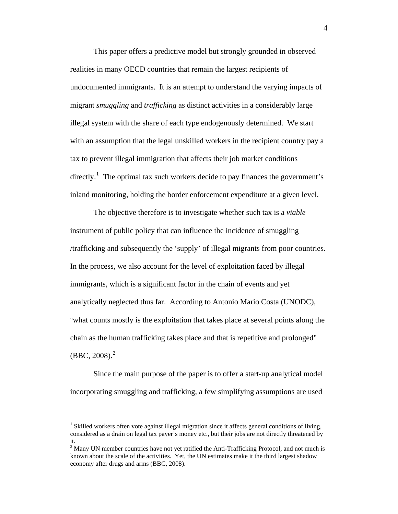This paper offers a predictive model but strongly grounded in observed realities in many OECD countries that remain the largest recipients of undocumented immigrants. It is an attempt to understand the varying impacts of migrant *smuggling* and *trafficking* as distinct activities in a considerably large illegal system with the share of each type endogenously determined. We start with an assumption that the legal unskilled workers in the recipient country pay a tax to prevent illegal immigration that affects their job market conditions directly.<sup>[1](#page-3-0)</sup> The optimal tax such workers decide to pay finances the government's inland monitoring, holding the border enforcement expenditure at a given level.

The objective therefore is to investigate whether such tax is a *viable* instrument of public policy that can influence the incidence of smuggling /trafficking and subsequently the 'supply' of illegal migrants from poor countries. In the process, we also account for the level of exploitation faced by illegal immigrants, which is a significant factor in the chain of events and yet analytically neglected thus far. According to Antonio Mario Costa (UNODC), "what counts mostly is the exploitation that takes place at several points along the chain as the human trafficking takes place and that is repetitive and prolonged"  $(BBC, 2008).$  $(BBC, 2008).$  $(BBC, 2008).$ <sup>2</sup>

Since the main purpose of the paper is to offer a start-up analytical model incorporating smuggling and trafficking, a few simplifying assumptions are used

 $\overline{a}$ 

<span id="page-3-0"></span><sup>&</sup>lt;sup>1</sup> Skilled workers often vote against illegal migration since it affects general conditions of living, considered as a drain on legal tax payer's money etc., but their jobs are not directly threatened by it.

<span id="page-3-1"></span> $2^2$  Many UN member countries have not yet ratified the Anti-Trafficking Protocol, and not much is known about the scale of the activities. Yet, the UN estimates make it the third largest shadow economy after drugs and arms (BBC, 2008).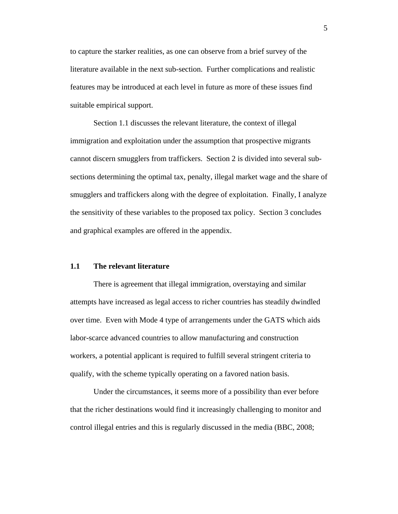to capture the starker realities, as one can observe from a brief survey of the literature available in the next sub-section. Further complications and realistic features may be introduced at each level in future as more of these issues find suitable empirical support.

Section 1.1 discusses the relevant literature, the context of illegal immigration and exploitation under the assumption that prospective migrants cannot discern smugglers from traffickers. Section 2 is divided into several subsections determining the optimal tax, penalty, illegal market wage and the share of smugglers and traffickers along with the degree of exploitation. Finally, I analyze the sensitivity of these variables to the proposed tax policy. Section 3 concludes and graphical examples are offered in the appendix.

#### **1.1 The relevant literature**

There is agreement that illegal immigration, overstaying and similar attempts have increased as legal access to richer countries has steadily dwindled over time. Even with Mode 4 type of arrangements under the GATS which aids labor-scarce advanced countries to allow manufacturing and construction workers, a potential applicant is required to fulfill several stringent criteria to qualify, with the scheme typically operating on a favored nation basis.

Under the circumstances, it seems more of a possibility than ever before that the richer destinations would find it increasingly challenging to monitor and control illegal entries and this is regularly discussed in the media (BBC, 2008;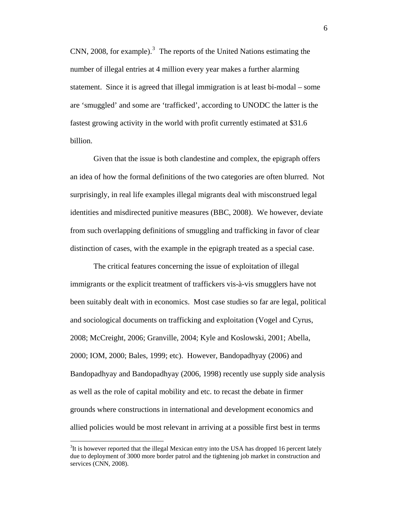CNN, 2008, for example). $3$  The reports of the United Nations estimating the number of illegal entries at 4 million every year makes a further alarming statement. Since it is agreed that illegal immigration is at least bi-modal – some are 'smuggled' and some are 'trafficked', according to UNODC the latter is the fastest growing activity in the world with profit currently estimated at \$31.6 billion.

Given that the issue is both clandestine and complex, the epigraph offers an idea of how the formal definitions of the two categories are often blurred. Not surprisingly, in real life examples illegal migrants deal with misconstrued legal identities and misdirected punitive measures (BBC, 2008). We however, deviate from such overlapping definitions of smuggling and trafficking in favor of clear distinction of cases, with the example in the epigraph treated as a special case.

The critical features concerning the issue of exploitation of illegal immigrants or the explicit treatment of traffickers vis-à-vis smugglers have not been suitably dealt with in economics. Most case studies so far are legal, political and sociological documents on trafficking and exploitation (Vogel and Cyrus, 2008; McCreight, 2006; Granville, 2004; Kyle and Koslowski, 2001; Abella, 2000; IOM, 2000; Bales, 1999; etc). However, Bandopadhyay (2006) and Bandopadhyay and Bandopadhyay (2006, 1998) recently use supply side analysis as well as the role of capital mobility and etc. to recast the debate in firmer grounds where constructions in international and development economics and allied policies would be most relevant in arriving at a possible first best in terms

 $\overline{a}$ 

<span id="page-5-0"></span> $3$ It is however reported that the illegal Mexican entry into the USA has dropped 16 percent lately due to deployment of 3000 more border patrol and the tightening job market in construction and services (CNN, 2008).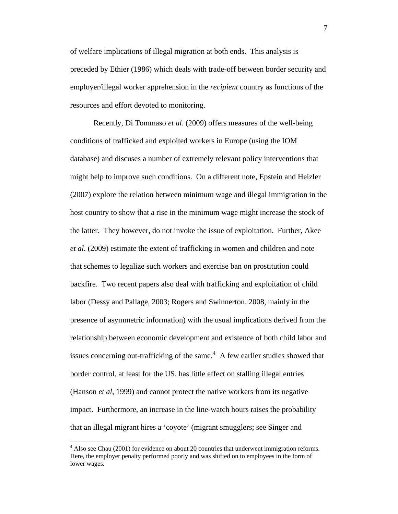of welfare implications of illegal migration at both ends. This analysis is preceded by Ethier (1986) which deals with trade-off between border security and employer/illegal worker apprehension in the *recipient* country as functions of the resources and effort devoted to monitoring.

Recently, Di Tommaso *et al*. (2009) offers measures of the well-being conditions of trafficked and exploited workers in Europe (using the IOM database) and discuses a number of extremely relevant policy interventions that might help to improve such conditions. On a different note, Epstein and Heizler (2007) explore the relation between minimum wage and illegal immigration in the host country to show that a rise in the minimum wage might increase the stock of the latter. They however, do not invoke the issue of exploitation. Further, Akee *et al*. (2009) estimate the extent of trafficking in women and children and note that schemes to legalize such workers and exercise ban on prostitution could backfire. Two recent papers also deal with trafficking and exploitation of child labor (Dessy and Pallage, 2003; Rogers and Swinnerton, 2008, mainly in the presence of asymmetric information) with the usual implications derived from the relationship between economic development and existence of both child labor and issues concerning out-trafficking of the same. $4$  A few earlier studies showed that border control, at least for the US, has little effect on stalling illegal entries (Hanson *et al*, 1999) and cannot protect the native workers from its negative impact. Furthermore, an increase in the line-watch hours raises the probability that an illegal migrant hires a 'coyote' (migrant smugglers; see Singer and

 $\overline{a}$ 

<span id="page-6-0"></span> $4$  Also see Chau (2001) for evidence on about 20 countries that underwent immigration reforms. Here, the employer penalty performed poorly and was shifted on to employees in the form of lower wages.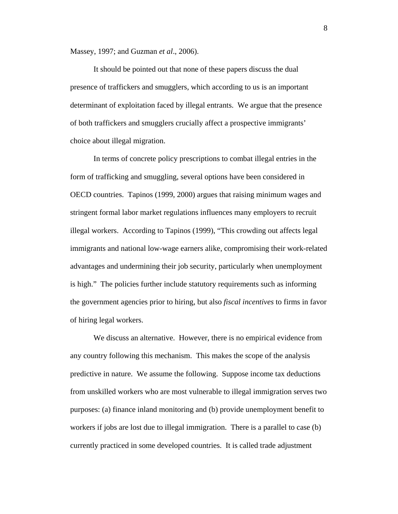Massey, 1997; and Guzman *et al*., 2006).

It should be pointed out that none of these papers discuss the dual presence of traffickers and smugglers, which according to us is an important determinant of exploitation faced by illegal entrants. We argue that the presence of both traffickers and smugglers crucially affect a prospective immigrants' choice about illegal migration.

In terms of concrete policy prescriptions to combat illegal entries in the form of trafficking and smuggling, several options have been considered in OECD countries. Tapinos (1999, 2000) argues that raising minimum wages and stringent formal labor market regulations influences many employers to recruit illegal workers. According to Tapinos (1999), "This crowding out affects legal immigrants and national low-wage earners alike, compromising their work-related advantages and undermining their job security, particularly when unemployment is high." The policies further include statutory requirements such as informing the government agencies prior to hiring, but also *fiscal incentives* to firms in favor of hiring legal workers.

We discuss an alternative. However, there is no empirical evidence from any country following this mechanism. This makes the scope of the analysis predictive in nature. We assume the following. Suppose income tax deductions from unskilled workers who are most vulnerable to illegal immigration serves two purposes: (a) finance inland monitoring and (b) provide unemployment benefit to workers if jobs are lost due to illegal immigration. There is a parallel to case (b) currently practiced in some developed countries. It is called trade adjustment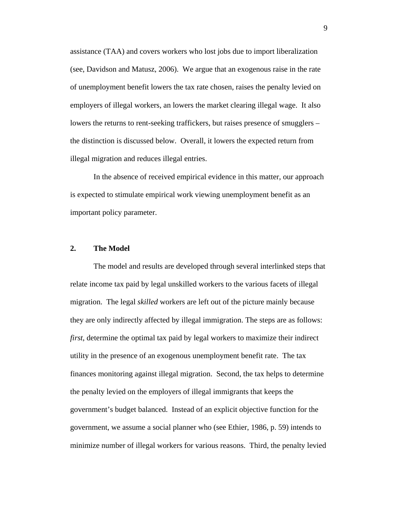assistance (TAA) and covers workers who lost jobs due to import liberalization (see, Davidson and Matusz, 2006). We argue that an exogenous raise in the rate of unemployment benefit lowers the tax rate chosen, raises the penalty levied on employers of illegal workers, an lowers the market clearing illegal wage. It also lowers the returns to rent-seeking traffickers, but raises presence of smugglers – the distinction is discussed below. Overall, it lowers the expected return from illegal migration and reduces illegal entries.

In the absence of received empirical evidence in this matter, our approach is expected to stimulate empirical work viewing unemployment benefit as an important policy parameter.

#### **2. The Model**

The model and results are developed through several interlinked steps that relate income tax paid by legal unskilled workers to the various facets of illegal migration. The legal *skilled* workers are left out of the picture mainly because they are only indirectly affected by illegal immigration. The steps are as follows: *first*, determine the optimal tax paid by legal workers to maximize their indirect utility in the presence of an exogenous unemployment benefit rate. The tax finances monitoring against illegal migration. Second, the tax helps to determine the penalty levied on the employers of illegal immigrants that keeps the government's budget balanced. Instead of an explicit objective function for the government, we assume a social planner who (see Ethier, 1986, p. 59) intends to minimize number of illegal workers for various reasons. Third, the penalty levied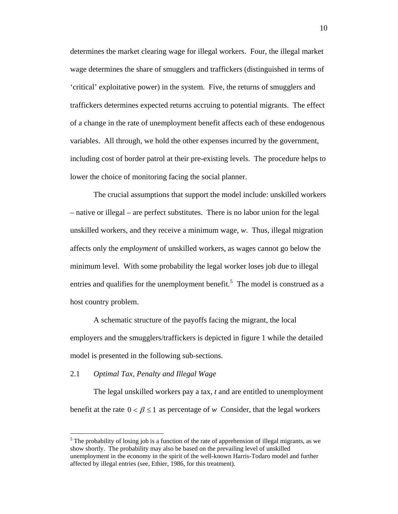determines the market clearing wage for illegal workers. Four, the illegal market wage determines the share of smugglers and traffickers (distinguished in terms of 'critical' exploitative power) in the system. Five, the returns of smugglers and traffickers determines expected returns accruing to potential migrants. The effect of a change in the rate of unemployment benefit affects each of these endogenous variables. All through, we hold the other expenses incurred by the government, including cost of border patrol at their pre-existing levels. The procedure helps to lower the choice of monitoring facing the social planner.

The crucial assumptions that support the model include: unskilled workers – native or illegal – are perfect substitutes. There is no labor union for the legal unskilled workers, and they receive a minimum wage, *w*. Thus, illegal migration affects only the *employment* of unskilled workers, as wages cannot go below the minimum level. With some probability the legal worker loses job due to illegal entries and qualifies for the unemployment benefit.<sup>[5](#page-9-0)</sup> The model is construed as a host country problem.

A schematic structure of the payoffs facing the migrant, the local employers and the smugglers/traffickers is depicted in figure 1 while the detailed model is presented in the following sub-sections.

#### 2.1 *Optimal Tax, Penalty and Illegal Wage*

 $\overline{a}$ 

 The legal unskilled workers pay a tax, *t* and are entitled to unemployment benefit at the rate  $0 < \beta \le 1$  as percentage of *w* Consider, that the legal workers

<span id="page-9-0"></span> $<sup>5</sup>$  The probability of losing job is a function of the rate of apprehension of illegal migrants, as we</sup> show shortly. The probability may also be based on the prevailing level of unskilled unemployment in the economy in the spirit of the well-known Harris-Todaro model and further affected by illegal entries (see, Ethier, 1986, for this treatment).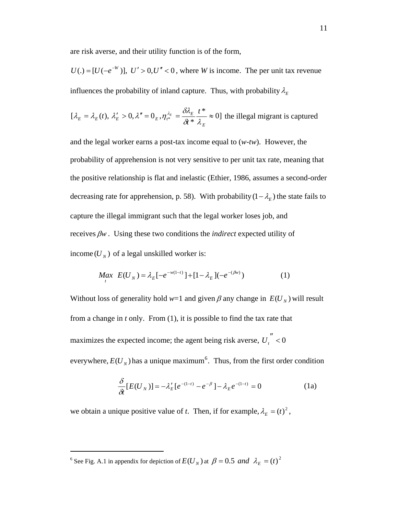are risk averse, and their utility function is of the form,

 $U(.) = [U(-e^{-W})], U' > 0, U'' < 0$ , where *W* is income. The per unit tax revenue influences the probability of inland capture. Thus, with probability  $\lambda_{E}$ 

$$
[\lambda_E = \lambda_E(t), \lambda'_E > 0, \lambda'' = 0_E, \eta_{t^*}^{\lambda_E} = \frac{\delta \lambda_E}{\delta t^*} \frac{t^*}{\lambda_E} \approx 0]
$$
 the illegal migration is captured

and the legal worker earns a post-tax income equal to (*w-tw*). However, the probability of apprehension is not very sensitive to per unit tax rate, meaning that the positive relationship is flat and inelastic (Ethier, 1986, assumes a second-order decreasing rate for apprehension, p. 58). With probability  $(1 - \lambda_E)$  the state fails to capture the illegal immigrant such that the legal worker loses job, and receives β*w* . Using these two conditions the *indirect* expected utility of income  $(U<sub>N</sub>)$  of a legal unskilled worker is:

$$
M_{t} \mathcal{L}(U_{N}) = \lambda_{E} \left[ -e^{-w(1-t)} \right] + \left[ 1 - \lambda_{E} \right] \left( -e^{-(\beta w)} \right) \tag{1}
$$

Without loss of generality hold  $w=1$  and given  $\beta$  any change in  $E(U_N)$  will result from a change in *t* only. From (1), it is possible to find the tax rate that maximizes the expected income; the agent being risk averse,  $U_i^{''}$  < 0 everywhere,  $E(U<sub>N</sub>)$  has a unique maximum<sup>[6](#page-10-0)</sup>. Thus, from the first order condition

$$
\frac{\delta}{\delta t}[E(U_N)] = -\lambda_E'[e^{-(1-t)} - e^{-\beta}] - \lambda_E e^{-(1-t)} = 0
$$
\n(1a)

we obtain a unique positive value of *t*. Then, if for example,  $\lambda_E = (t)^2$ ,

 $\overline{a}$ 

<span id="page-10-0"></span><sup>&</sup>lt;sup>6</sup> See Fig. A.1 in appendix for depiction of  $EU_N$ ) at  $\beta = 0.5$  *and*  $\lambda_E = (t)^2$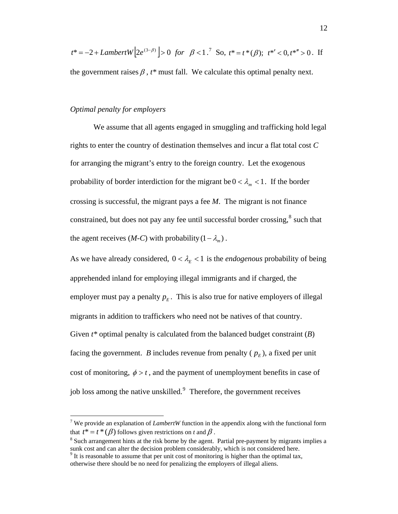$$
t^* = -2 + LambertW[2e^{(3-\beta)}] > 0
$$
 for  $\beta < 1$ .<sup>7</sup> So,  $t^* = t^*(\beta)$ ;  $t^{*'} < 0, t^{*''} > 0$ . If

the government raises  $\beta$ ,  $t^*$  must fall. We calculate this optimal penalty next.

#### *Optimal penalty for employers*

We assume that all agents engaged in smuggling and trafficking hold legal rights to enter the country of destination themselves and incur a flat total cost *C* for arranging the migrant's entry to the foreign country. Let the exogenous probability of border interdiction for the migrant be  $0 < \lambda_m < 1$ . If the border crossing is successful, the migrant pays a fee *M*. The migrant is not finance constrained, but does not pay any fee until successful border crossing, $^8$  $^8$  such that the agent receives (*M-C*) with probability  $(1 - \lambda_m)$ .

As we have already considered,  $0 < \lambda_E < 1$  is the *endogenous* probability of being apprehended inland for employing illegal immigrants and if charged, the employer must pay a penalty  $p_E$ . This is also true for native employers of illegal migrants in addition to traffickers who need not be natives of that country. Given *t\** optimal penalty is calculated from the balanced budget constraint (*B*) facing the government. *B* includes revenue from penalty ( $p_E$ ), a fixed per unit cost of monitoring,  $\phi > t$ , and the payment of unemployment benefits in case of job loss among the native unskilled.<sup>[9](#page-11-2)</sup> Therefore, the government receives

<span id="page-11-0"></span><sup>&</sup>lt;sup>7</sup> We provide an explanation of *LambertW* function in the appendix along with the functional form that  $t^* = t^* (\beta)$  follows given restrictions on *t* and  $\beta$ .

<span id="page-11-1"></span><sup>&</sup>lt;sup>8</sup> Such arrangement hints at the risk borne by the agent. Partial pre-payment by migrants implies a sunk cost and can alter the decision problem considerably, which is not considered here.

<span id="page-11-2"></span> $9<sup>9</sup>$  It is reasonable to assume that per unit cost of monitoring is higher than the optimal tax, otherwise there should be no need for penalizing the employers of illegal aliens.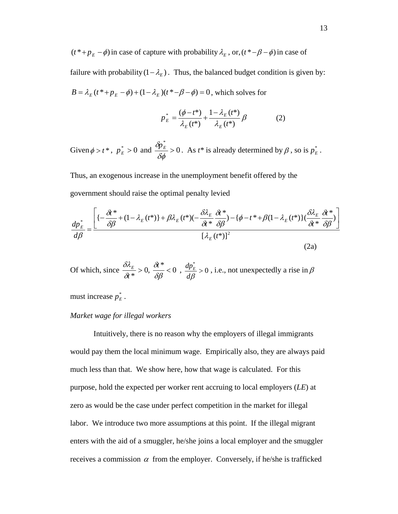$(t^* + p_E - \phi)$  in case of capture with probability  $\lambda_E$ , or,  $(t^* - \beta - \phi)$  in case of failure with probability  $(1 - \lambda_E)$ . Thus, the balanced budget condition is given by:  $B = \lambda_E (t^* + p_E - \phi) + (1 - \lambda_E)(t^* - \phi - \phi) = 0$ , which solves for

$$
p_{E}^{*} = \frac{(\phi - t^{*})}{\lambda_{E}(t^{*})} + \frac{1 - \lambda_{E}(t^{*})}{\lambda_{E}(t^{*})} \beta
$$
 (2)

Given  $\phi > t^*$ ,  $p_E^* > 0$  and  $\frac{dp_E}{g_t} > 0$ \* > δφ  $\frac{\delta p_E^*}{s} > 0$ . As *t*\* is already determined by  $\beta$ , so is  $p_E^*$ .

Thus, an exogenous increase in the unemployment benefit offered by the government should raise the optimal penalty levied

$$
\frac{dp_E^*}{d\beta} = \frac{\left[ \left\{ -\frac{\delta t^*}{\delta \beta} + (1 - \lambda_E(t^*)) + \beta \lambda_E(t^*) \right\} - \frac{\delta \lambda_E}{\delta t^*} \frac{\delta t^*}{\delta \beta} - \left\{ \phi - t^* + \beta (1 - \lambda_E(t^*)) \right\} \left( \frac{\delta \lambda_E}{\delta t^*} \frac{\delta t^*}{\delta \beta} \right) \right]}{\left[ \lambda_E(t^*) \right]^2} \tag{2a}
$$

Of which, since  $\frac{\delta \lambda_E}{\delta t^*} > 0$ ,  $\frac{\delta t^*}{\delta \beta} < 0$ δβ δ δ  $\delta \lambda$ <sub>*t*<sub>c</sub>  $\delta t$ </sub> *t*  $\frac{E}{m} > 0, \frac{\delta t^*}{\delta s^*} < 0, \frac{dp_E^*}{ds^*} > 0$  $>$ *d*β  $\frac{dp^*_{\varepsilon}}{f} > 0$ , i.e., not unexpectedly a rise in  $\beta$ 

must increase  $p_{E}^{*}$ .

#### *Market wage for illegal workers*

Intuitively, there is no reason why the employers of illegal immigrants would pay them the local minimum wage. Empirically also, they are always paid much less than that. We show here, how that wage is calculated. For this purpose, hold the expected per worker rent accruing to local employers (*LE*) at zero as would be the case under perfect competition in the market for illegal labor. We introduce two more assumptions at this point. If the illegal migrant enters with the aid of a smuggler, he/she joins a local employer and the smuggler receives a commission  $\alpha$  from the employer. Conversely, if he/she is trafficked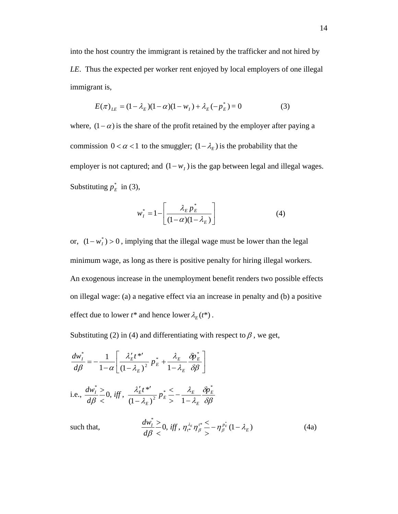into the host country the immigrant is retained by the trafficker and not hired by *LE*. Thus the expected per worker rent enjoyed by local employers of one illegal immigrant is,

$$
E(\pi)_{LE} = (1 - \lambda_E)(1 - \alpha)(1 - w_I) + \lambda_E(-p_E^*) = 0
$$
 (3)

where,  $(1 - \alpha)$  is the share of the profit retained by the employer after paying a commission  $0 < \alpha < 1$  to the smuggler;  $(1 - \lambda_F)$  is the probability that the employer is not captured; and  $(1 - w_I)$  is the gap between legal and illegal wages. Substituting  $p_E^*$  in (3),

$$
w_I^* = 1 - \left[ \frac{\lambda_E p_E^*}{(1 - \alpha)(1 - \lambda_E)} \right] \tag{4}
$$

or,  $(1 - w<sub>i</sub><sup>*</sup>) > 0$ , implying that the illegal wage must be lower than the legal minimum wage, as long as there is positive penalty for hiring illegal workers. An exogenous increase in the unemployment benefit renders two possible effects on illegal wage: (a) a negative effect via an increase in penalty and (b) a positive effect due to lower  $t^*$  and hence lower  $\lambda_E(t^*)$ .

Substituting (2) in (4) and differentiating with respect to  $\beta$ , we get,

 $\lt$ 

$$
\frac{dw_{I}^{*}}{d\beta} = -\frac{1}{1-\alpha} \left[ \frac{\lambda_{E}' t^{*}}{(1-\lambda_{E})^{2}} p_{E}^{*} + \frac{\lambda_{E}}{1-\lambda_{E}} \frac{\delta p_{E}^{*}}{\delta \beta} \right]
$$
\ni.e., 
$$
\frac{dw_{I}^{*}}{d\beta} \leq 0, \text{ iff, } \frac{\lambda_{E}' t^{*}}{(1-\lambda_{E})^{2}} p_{E}^{*} \leq -\frac{\lambda_{E}}{1-\lambda_{E}} \frac{\delta p_{E}^{*}}{\delta \beta}
$$
\nsuch that,
$$
\frac{dw_{I}^{*}}{d\beta} \leq 0, \text{ iff, } \eta_{i^{*}}^{\lambda_{E}} \eta_{\beta}^{*} \leq -\eta_{\beta}^{p_{E}^{*}} (1-\lambda_{E}) \tag{4a}
$$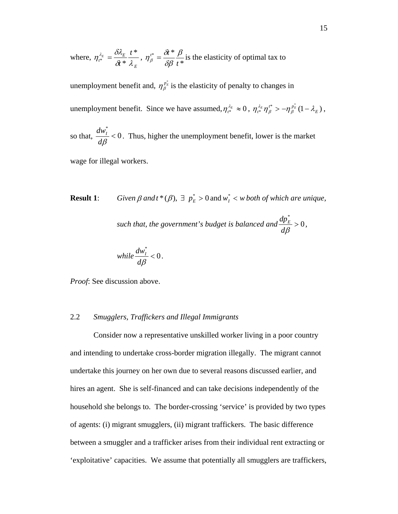where, *E*  $\frac{\lambda_E}{t^*} = \frac{U \cdot L}{C \cdot L}$ *t*  $\frac{E}{\delta t} = \frac{1}{\delta t}$  $\delta t$  \*  $\lambda$  $\eta^{\lambda_{_E}}_{\iota^*}=\frac{\delta \lambda_{_E}}{\delta t^*}\frac{t^*}{\lambda_{_E}} ,\ \eta^{\iota^*}_{_{{\beta}}}=\frac{\delta t^*}{\delta {\beta}}\frac{{\beta}}{t^*}$ *t*  $t^*$   $\alpha$   $\delta t$   $\ast$   $\beta$ δβ  $\eta_{\beta}^{i^*} = \frac{\delta i^*}{\delta \beta} \frac{\beta}{i^*}$  is the elasticity of optimal tax to

unemployment benefit and,  $\eta_{\beta}^{p_{E}^{*}}$  is the elasticity of penalty to changes in unemployment benefit. Since we have assumed,  $\eta_{t^*}^{\lambda_E} \approx 0$ ,  $\eta_{t^*}^{\lambda_E} \eta_{\beta}^{t^*} > -\eta_{\beta}^{p_E}(1-\lambda_E)$ ,  $t^*$  *p*  $\eta_{t^*}^{\lambda_E} \eta_{\beta}^{t^*} > -\eta_{\beta}^{p_E} (1-\lambda)$ 

so that,  $\frac{aw_1}{12} < 0$ \*  $\lt$ *d*β  $\frac{dw_i^*}{\sqrt{2}}$  < 0. Thus, higher the unemployment benefit, lower is the market

wage for illegal workers.

**Result 1**: *Given*  $\beta$  *and*  $t^*(\beta)$ ,  $\exists p^*_{E} > 0$  and  $w^*_{E} < w$  *both of which are unique*,

such that, the government's budget is balanced and  $\frac{dP_E}{dQ} > 0$ \*  $>$ *d*β  $\frac{dp_E^*}{l} > 0,$ 

while 
$$
\frac{dw_1^*}{d\beta} < 0.
$$

*Proof*: See discussion above.

#### 2.2 *Smugglers, Traffickers and Illegal Immigrants*

Consider now a representative unskilled worker living in a poor country and intending to undertake cross-border migration illegally. The migrant cannot undertake this journey on her own due to several reasons discussed earlier, and hires an agent. She is self-financed and can take decisions independently of the household she belongs to. The border-crossing 'service' is provided by two types of agents: (i) migrant smugglers, (ii) migrant traffickers. The basic difference between a smuggler and a trafficker arises from their individual rent extracting or 'exploitative' capacities. We assume that potentially all smugglers are traffickers,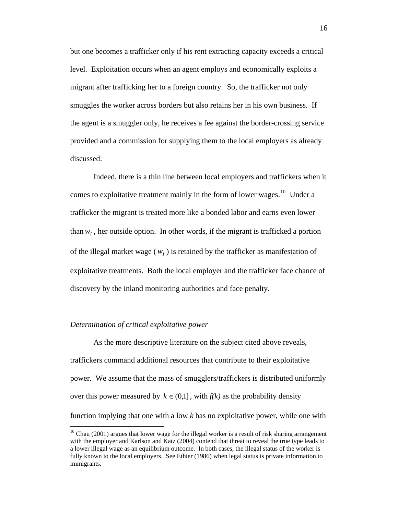but one becomes a trafficker only if his rent extracting capacity exceeds a critical level. Exploitation occurs when an agent employs and economically exploits a migrant after trafficking her to a foreign country. So, the trafficker not only smuggles the worker across borders but also retains her in his own business. If the agent is a smuggler only, he receives a fee against the border-crossing service provided and a commission for supplying them to the local employers as already discussed.

Indeed, there is a thin line between local employers and traffickers when it comes to exploitative treatment mainly in the form of lower wages.<sup>[10](#page-15-0)</sup> Under a trafficker the migrant is treated more like a bonded labor and earns even lower than  $w_I$ , her outside option. In other words, if the migrant is trafficked a portion of the illegal market wage  $(w<sub>I</sub>)$  is retained by the trafficker as manifestation of exploitative treatments. Both the local employer and the trafficker face chance of discovery by the inland monitoring authorities and face penalty.

#### *Determination of critical exploitative power*

 $\overline{a}$ 

As the more descriptive literature on the subject cited above reveals, traffickers command additional resources that contribute to their exploitative power. We assume that the mass of smugglers/traffickers is distributed uniformly over this power measured by  $k \in (0,1]$ , with  $f(k)$  as the probability density function implying that one with a low *k* has no exploitative power, while one with

<span id="page-15-0"></span> $10$  Chau (2001) argues that lower wage for the illegal worker is a result of risk sharing arrangement with the employer and Karlson and Katz (2004) contend that threat to reveal the true type leads to a lower illegal wage as an equilibrium outcome. In both cases, the illegal status of the worker is fully known to the local employers. See Ethier (1986) when legal status is private information to immigrants.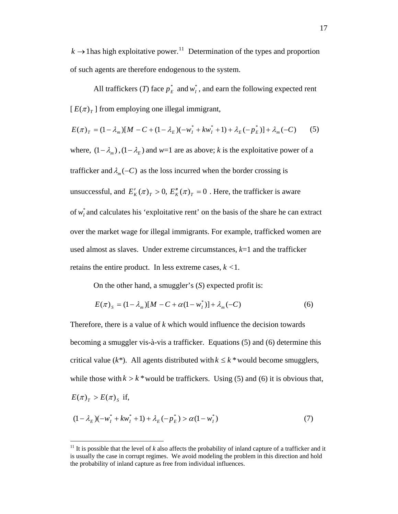$k \rightarrow 1$  has high exploitative power.<sup>[11](#page-16-0)</sup> Determination of the types and proportion of such agents are therefore endogenous to the system.

All traffickers (*T*) face  $p_E^*$  and  $w_I^*$ , and earn the following expected rent  $[E(\pi)_T]$  from employing one illegal immigrant,

$$
E(\pi)_T = (1 - \lambda_m)[M - C + (1 - \lambda_E)(-w_I^* + kw_I^* + 1) + \lambda_E(-p_E^*)] + \lambda_m(-C) \tag{5}
$$

where,  $(1 - \lambda_m)$ ,  $(1 - \lambda_E)$  and  $w=1$  are as above; *k* is the exploitative power of a trafficker and  $\lambda_m(-C)$  as the loss incurred when the border crossing is unsuccessful, and  $E_K'(\pi)_{T} > 0$ ,  $E_K''(\pi)_{T} = 0$ . Here, the trafficker is aware of  $w_l^*$  and calculates his 'exploitative rent' on the basis of the share he can extract over the market wage for illegal immigrants. For example, trafficked women are used almost as slaves. Under extreme circumstances,  $k=1$  and the trafficker retains the entire product. In less extreme cases, *k <*1.

On the other hand, a smuggler's (*S*) expected profit is:

$$
E(\pi)_s = (1 - \lambda_m)[M - C + \alpha(1 - w_I^*)] + \lambda_m(-C)
$$
 (6)

Therefore, there is a value of *k* which would influence the decision towards becoming a smuggler vis-à-vis a trafficker. Equations (5) and (6) determine this critical value ( $k^*$ ). All agents distributed with  $k \leq k^*$  would become smugglers, while those with  $k > k^*$  would be traffickers. Using (5) and (6) it is obvious that,  $E(\pi)_{\tau} > E(\pi)_{\tau}$  if,

$$
(1 - \lambda_E)(-w_I^* + kw_I^* + 1) + \lambda_E(-p_E^*) > \alpha(1 - w_I^*)
$$
\n<sup>(7)</sup>

1

<span id="page-16-0"></span><sup>&</sup>lt;sup>11</sup> It is possible that the level of  $k$  also affects the probability of inland capture of a trafficker and it is usually the case in corrupt regimes. We avoid modeling the problem in this direction and hold the probability of inland capture as free from individual influences.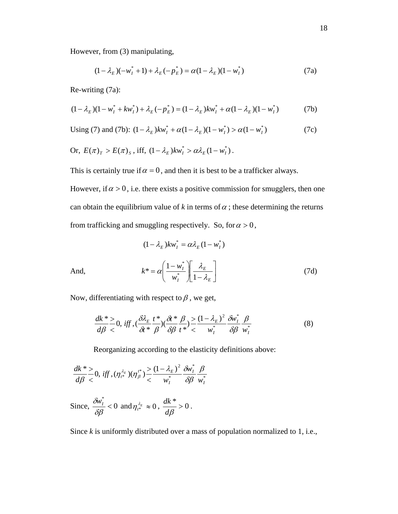However, from (3) manipulating,

$$
(1 - \lambda_E)(-w_I^* + 1) + \lambda_E(-p_E^*) = \alpha(1 - \lambda_E)(1 - w_I^*)
$$
\n(7a)

Re-writing (7a):

$$
(1 - \lambda_E)(1 - w_I^* + kw_I^*) + \lambda_E(-p_E^*) = (1 - \lambda_E)kw_I^* + \alpha(1 - \lambda_E)(1 - w_I^*)
$$
 (7b)

Using (7) and (7b): 
$$
(1 - \lambda_E)kw_I^* + \alpha(1 - \lambda_E)(1 - w_I^*) > \alpha(1 - w_I^*)
$$
 (7c)

Or, 
$$
E(\pi)_T > E(\pi)_S
$$
, iff,  $(1 - \lambda_E)kw_I^* > \alpha \lambda_E (1 - w_I^*)$ .

This is certainly true if  $\alpha = 0$ , and then it is best to be a trafficker always.

However, if  $\alpha > 0$ , i.e. there exists a positive commission for smugglers, then one can obtain the equilibrium value of  $k$  in terms of  $\alpha$ ; these determining the returns from trafficking and smuggling respectively. So, for  $\alpha > 0$ ,

$$
(1 - \lambda_E) k w_I^* = \alpha \lambda_E (1 - w_I^*)
$$

And, 
$$
k^* = \alpha \left( \frac{1 - w_I^*}{w_I^*} \right) \left[ \frac{\lambda_E}{1 - \lambda_E} \right]
$$
 (7d)

Now, differentiating with respect to  $\beta$ , we get,

$$
\frac{dk^*}{d\beta} \ge 0, \text{ iff }, (\frac{\delta \lambda_E}{\delta t^*} \frac{t^*}{\beta})(\frac{\delta t^*}{\delta \beta} \frac{\beta}{t^*}) \le \frac{(1 - \lambda_E)^2}{w_I^*} \frac{\delta w_I^*}{\delta \beta} \frac{\beta}{w_I^*}
$$
(8)

Reorganizing according to the elasticity definitions above:

$$
\frac{dk^*}{d\beta} \ge 0, \text{ iff }, (\eta_{t^*}^{\lambda_E})(\eta_{\beta}^{t^*}) \ge \frac{(1-\lambda_E)^2}{w_I^*} \frac{\delta w_I^*}{\delta \beta} \frac{\beta}{w_I^*}
$$
  
Since,  $\frac{\delta w_I^*}{\delta \beta} < 0$  and  $\eta_{t^*}^{\lambda_E} \approx 0$ ,  $\frac{dk^*}{d\beta} > 0$ .

Since *k* is uniformly distributed over a mass of population normalized to 1, i.e.,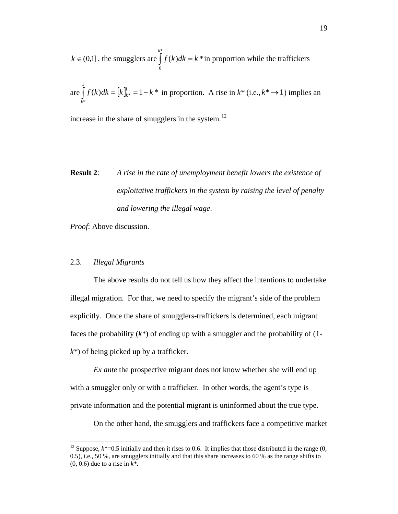$k \in (0,1]$ , the smugglers are  $\int f(k)dk = k^*$  in proportion while the traffickers \* 0  $f(k)dk = k$ *k*  $\int f(k)dk =$ 

are  $\int f(k)dk = [k]_{k*}^1 = 1 - k*$  in proportion. A rise in  $k^*$  (i.e.,  $k^* \rightarrow 1$ ) implies an 1 \*  $f(k)dk = [k]_{k*}^{\perp} = 1 - k$  $\int_{k^*} f(k)dk = [k]_{k^*}^1 = 1 - k^*$  in proportion. A rise in  $k^*$  (i.e.,  $k^* \to 1$ )

increase in the share of smugglers in the system. $^{12}$  $^{12}$  $^{12}$ 

# **Result 2**: *A rise in the rate of unemployment benefit lowers the existence of exploitative traffickers in the system by raising the level of penalty and lowering the illegal wage*.

*Proof*: Above discussion.

#### 2.3. *Illegal Migrants*

 $\overline{a}$ 

The above results do not tell us how they affect the intentions to undertake illegal migration. For that, we need to specify the migrant's side of the problem explicitly. Once the share of smugglers-traffickers is determined, each migrant faces the probability (*k\**) of ending up with a smuggler and the probability of (1 *k\**) of being picked up by a trafficker.

*Ex ante* the prospective migrant does not know whether she will end up with a smuggler only or with a trafficker. In other words, the agent's type is private information and the potential migrant is uninformed about the true type.

On the other hand, the smugglers and traffickers face a competitive market

<span id="page-18-0"></span><sup>&</sup>lt;sup>12</sup> Suppose,  $k^*=0.5$  initially and then it rises to 0.6. It implies that those distributed in the range  $(0, 1)$ 0.5), i.e., 50 %, are smugglers initially and that this share increases to 60 % as the range shifts to (0, 0.6) due to a rise in *k\**.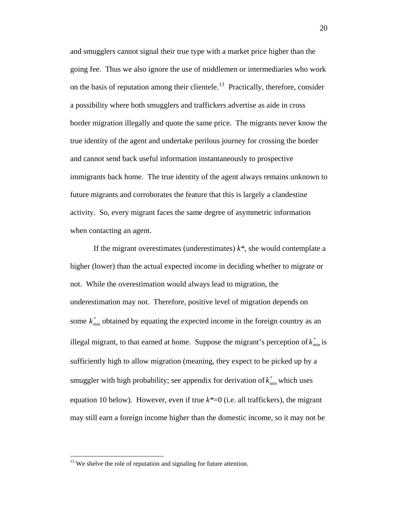and smugglers cannot signal their true type with a market price higher than the going fee. Thus we also ignore the use of middlemen or intermediaries who work on the basis of reputation among their clientele.<sup>[13](#page-19-0)</sup> Practically, therefore, consider a possibility where both smugglers and traffickers advertise as aide in cross border migration illegally and quote the same price. The migrants never know the true identity of the agent and undertake perilous journey for crossing the border and cannot send back useful information instantaneously to prospective immigrants back home. The true identity of the agent always remains unknown to future migrants and corroborates the feature that this is largely a clandestine activity. So, every migrant faces the same degree of asymmetric information when contacting an agent.

If the migrant overestimates (underestimates) *k\**, she would contemplate a higher (lower) than the actual expected income in deciding whether to migrate or not. While the overestimation would always lead to migration, the underestimation may not. Therefore, positive level of migration depends on some  $k_{\text{min}}^*$  obtained by equating the expected income in the foreign country as an illegal migrant, to that earned at home. Suppose the migrant's perception of  $k_{min}^*$  is sufficiently high to allow migration (meaning, they expect to be picked up by a smuggler with high probability; see appendix for derivation of  $k_{\text{min}}^*$  which uses equation 10 below). However, even if true  $k^*=0$  (i.e. all traffickers), the migrant may still earn a foreign income higher than the domestic income, so it may not be

 $\overline{a}$ 

<span id="page-19-0"></span> $13$  We shelve the role of reputation and signaling for future attention.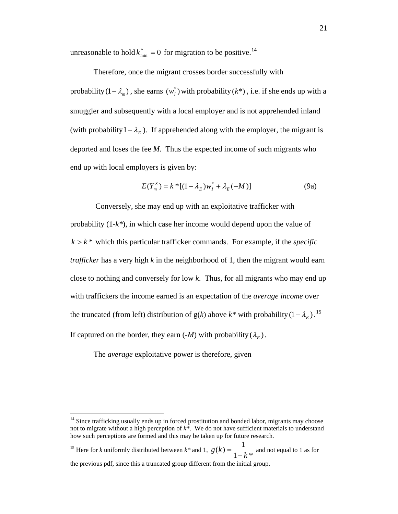unreasonable to hold  $k_{\min}^* = 0$  for migration to be positive.<sup>[14](#page-20-0)</sup>

Therefore, once the migrant crosses border successfully with probability  $(1 - \lambda_m)$ , she earns  $(w_l^*)$  with probability  $(k^*)$ , i.e. if she ends up with a smuggler and subsequently with a local employer and is not apprehended inland (with probability  $1 - \lambda_E$ ). If apprehended along with the employer, the migrant is deported and loses the fee *M*. Thus the expected income of such migrants who end up with local employers is given by:

$$
E(Y_m^S) = k^*[(1 - \lambda_E)w_I^* + \lambda_E(-M)]
$$
 (9a)

 Conversely, she may end up with an exploitative trafficker with probability (1*-k\**), in which case her income would depend upon the value of  $k > k^*$  which this particular trafficker commands. For example, if the *specific trafficker* has a very high *k* in the neighborhood of 1, then the migrant would earn close to nothing and conversely for low *k*. Thus, for all migrants who may end up with traffickers the income earned is an expectation of the *average income* over the truncated (from left) distribution of  $g(k)$  above  $k^*$  with probability  $(1 - \lambda_E)^{15}$ . If captured on the border, they earn  $(-M)$  with probability  $(\lambda_E)$ .

The *average* exploitative power is therefore, given

 $\overline{a}$ 

<span id="page-20-1"></span><sup>15</sup> Here for *k* uniformly distributed between  $k^*$  and 1,  $g(k) = \frac{1}{1 - k^*}$  and not equal to 1 as for the previous pdf, since this a truncated group different from the initial group.

<span id="page-20-0"></span><sup>&</sup>lt;sup>14</sup> Since trafficking usually ends up in forced prostitution and bonded labor, migrants may choose not to migrate without a high perception of *k\**. We do not have sufficient materials to understand how such perceptions are formed and this may be taken up for future research.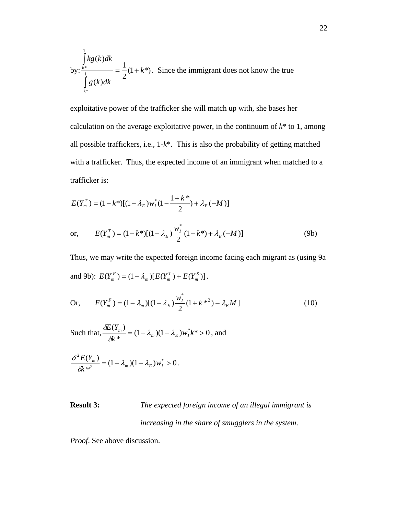by: 
$$
\frac{\int_{k^*}^{1} kg(k)dk}{\int_{k^*}^{1} g(k)dk} = \frac{1}{2} (1 + k^*)
$$
. Since the immigration does not know the true

exploitative power of the trafficker she will match up with, she bases her calculation on the average exploitative power, in the continuum of  $k^*$  to 1, among all possible traffickers, i.e., 1-*k*\*. This is also the probability of getting matched with a trafficker. Thus, the expected income of an immigrant when matched to a trafficker is:

$$
E(Y_m^T) = (1 - k^*)[(1 - \lambda_E)w_I^*(1 - \frac{1 + k^*}{2}) + \lambda_E(-M)]
$$

or, 
$$
E(Y_m^T) = (1 - k^*)[(1 - \lambda_E) \frac{w_I^*}{2} (1 - k^*) + \lambda_E (-M)]
$$
 (9b)

Thus, we may write the expected foreign income facing each migrant as (using 9a and 9b):  $E(Y_m^F) = (1 - \lambda_m)[E(Y_m^T) + E(Y_m^S)].$ *T*  $E(Y_m^F) = (1 - \lambda_m)[E(Y_m^T) + E(Y_m^F)]$ 

Or, 
$$
E(Y_m^F) = (1 - \lambda_m)[(1 - \lambda_E) \frac{w_I^*}{2} (1 + k^{*2}) - \lambda_E M]
$$
 (10)

Such that,  $\frac{\partial Z(\mathbf{r}_m)}{\partial k^*}=(1-\lambda_m)(1-\lambda_E)w_I^*k^*>0$  $\frac{(Y_m)}{(Y_m)} = (1 - \lambda_m)(1 - \lambda_F)w_I^* k^* >$ *k YE*  $\frac{m}{r} = (1 - \lambda_m)(1 - \lambda_E)w_I^*$  $\frac{\delta E(Y_m)}{\delta k^*} = (1 - \lambda_m)(1 - \lambda_E)w_I^* k^* > 0$ , and

$$
\frac{\delta^2 E(Y_m)}{\delta k^{*2}} = (1 - \lambda_m)(1 - \lambda_E) w_I^* > 0.
$$

## **Result 3:** *The expected foreign income of an illegal immigrant is increasing in the share of smugglers in the system*.

*Proof*. See above discussion.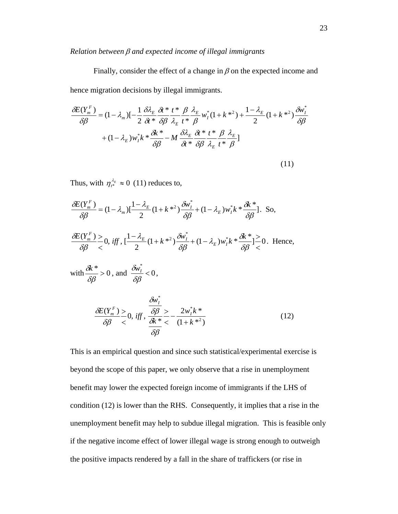#### *Relation between* β *and expected income of illegal immigrants*

Finally, consider the effect of a change in  $\beta$  on the expected income and hence migration decisions by illegal immigrants.

$$
\frac{\delta E(Y_{m}^{F})}{\delta \beta} = (1 - \lambda_{m}) \left[ -\frac{1}{2} \frac{\delta \lambda_{E}}{\delta t} \frac{\delta t^{*}}{\delta \beta} \frac{t^{*}}{\lambda_{E}} \frac{\beta}{t^{*}} \frac{\lambda_{E}}{\beta} w_{I}^{*} (1 + k^{*2}) + \frac{1 - \lambda_{E}}{2} (1 + k^{*2}) \frac{\delta w_{I}^{*}}{\delta \beta} + (1 - \lambda_{E}) w_{I}^{*} k^{*} \frac{\delta k^{*}}{\delta \beta} - M \frac{\delta \lambda_{E}}{\delta t^{*}} \frac{\delta t^{*}}{\delta \beta} \frac{t^{*}}{\lambda_{E}} \frac{\beta}{t^{*}} \frac{\lambda_{E}}{\beta} \right]
$$
\n
$$
(11)
$$

Thus, with  $\eta_{t^*}^{\lambda_E} \approx 0$  (11) reduces to,

$$
\frac{\partial E(Y_{m}^{F})}{\partial \beta} = (1 - \lambda_{m}) \left[ \frac{1 - \lambda_{E}}{2} (1 + k^{*2}) \frac{\partial w_{I}^{*}}{\partial \beta} + (1 - \lambda_{E}) w_{I}^{*} k^{*} \frac{\partial k^{*}}{\partial \beta} \right]. \text{ So,}
$$
\n
$$
\frac{\partial E(Y_{m}^{F})}{\partial \beta} \geq 0, \text{ iff, } \left[ \frac{1 - \lambda_{E}}{2} (1 + k^{*2}) \frac{\partial w_{I}^{*}}{\partial \beta} + (1 - \lambda_{E}) w_{I}^{*} k^{*} \frac{\partial k^{*}}{\partial \beta} \right] \geq 0. \text{ Hence,}
$$
\n
$$
\text{with } \frac{\partial k^{*}}{\partial \beta} > 0, \text{ and } \frac{\partial w_{I}^{*}}{\partial \beta} < 0,
$$
\n
$$
\frac{\partial w_{I}^{*}}{\partial \beta} < 0, \text{ iff, } \frac{\frac{\partial w_{I}^{*}}{\partial \beta} > 0, \text{ iff, } \frac{\frac{\partial w_{I}^{*}}{\partial \beta}}{\frac{\partial k^{*}}{\partial \beta} < 0} = \frac{2w_{I}^{*} k^{*}}{(1 + k^{*2})}
$$
\n
$$
(12)
$$

This is an empirical question and since such statistical/experimental exercise is beyond the scope of this paper, we only observe that a rise in unemployment benefit may lower the expected foreign income of immigrants if the LHS of condition (12) is lower than the RHS. Consequently, it implies that a rise in the unemployment benefit may help to subdue illegal migration. This is feasible only if the negative income effect of lower illegal wage is strong enough to outweigh the positive impacts rendered by a fall in the share of traffickers (or rise in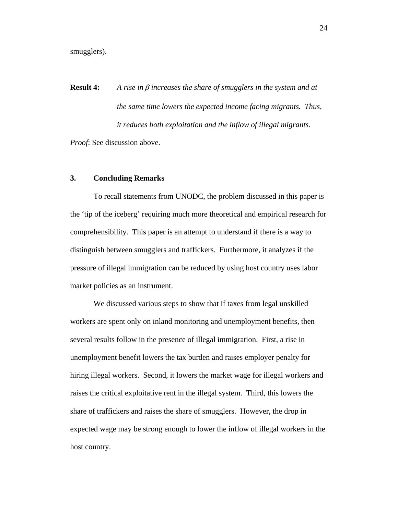smugglers).

**Result 4:** *A rise in* β *increases the share of smugglers in the system and at the same time lowers the expected income facing migrants. Thus, it reduces both exploitation and the inflow of illegal migrants.* 

*Proof*: See discussion above.

#### **3. Concluding Remarks**

 To recall statements from UNODC, the problem discussed in this paper is the 'tip of the iceberg' requiring much more theoretical and empirical research for comprehensibility. This paper is an attempt to understand if there is a way to distinguish between smugglers and traffickers. Furthermore, it analyzes if the pressure of illegal immigration can be reduced by using host country uses labor market policies as an instrument.

We discussed various steps to show that if taxes from legal unskilled workers are spent only on inland monitoring and unemployment benefits, then several results follow in the presence of illegal immigration. First, a rise in unemployment benefit lowers the tax burden and raises employer penalty for hiring illegal workers. Second, it lowers the market wage for illegal workers and raises the critical exploitative rent in the illegal system. Third, this lowers the share of traffickers and raises the share of smugglers. However, the drop in expected wage may be strong enough to lower the inflow of illegal workers in the host country.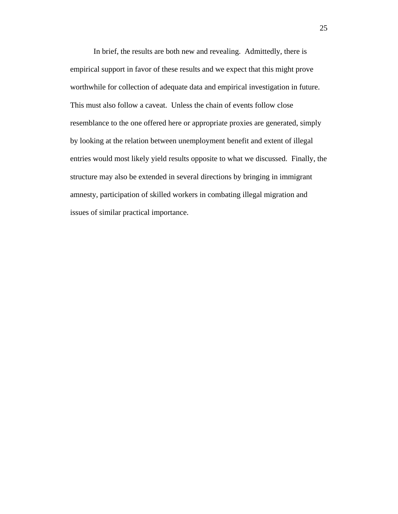In brief, the results are both new and revealing. Admittedly, there is empirical support in favor of these results and we expect that this might prove worthwhile for collection of adequate data and empirical investigation in future. This must also follow a caveat. Unless the chain of events follow close resemblance to the one offered here or appropriate proxies are generated, simply by looking at the relation between unemployment benefit and extent of illegal entries would most likely yield results opposite to what we discussed. Finally, the structure may also be extended in several directions by bringing in immigrant amnesty, participation of skilled workers in combating illegal migration and issues of similar practical importance.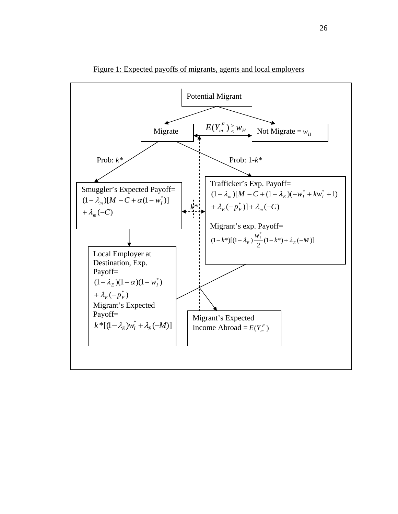

Figure 1: Expected payoffs of migrants, agents and local employers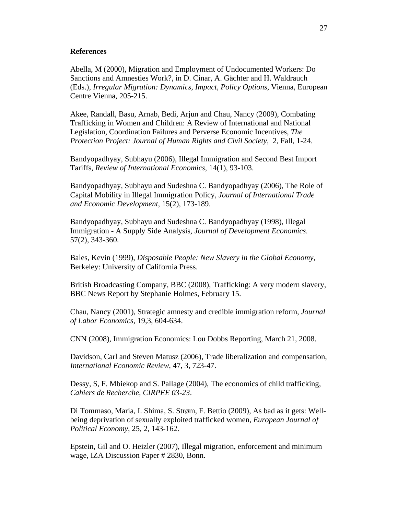#### **References**

Abella, M (2000), Migration and Employment of Undocumented Workers: Do Sanctions and Amnesties Work?, in D. Cinar, A. Gächter and H. Waldrauch (Eds.), *Irregular Migration: Dynamics, Impact, Policy Options*, Vienna, European Centre Vienna, 205-215.

Akee, Randall, Basu, Arnab, Bedi, Arjun and Chau, Nancy (2009), Combating Trafficking in Women and Children: A Review of International and National Legislation, Coordination Failures and Perverse Economic Incentives, *The Protection Project: Journal of Human Rights and Civil Society,* 2, Fall, 1-24.

Bandyopadhyay, Subhayu (2006), Illegal Immigration and Second Best Import Tariffs, *Review of International Economics*, 14(1), 93-103.

Bandyopadhyay, Subhayu and Sudeshna C. Bandyopadhyay (2006), The Role of Capital Mobility in Illegal Immigration Policy, *Journal of International Trade and Economic Development*, 15(2), 173-189.

Bandyopadhyay, Subhayu and Sudeshna C. Bandyopadhyay (1998), Illegal Immigration - A Supply Side Analysis, *Journal of Development Economics*. 57(2), 343-360.

Bales, Kevin (1999), *Disposable People: New Slavery in the Global Economy*, Berkeley: University of California Press.

British Broadcasting Company, BBC (2008), Trafficking: A very modern slavery, BBC News Report by Stephanie Holmes, February 15.

Chau, Nancy (2001), Strategic amnesty and credible immigration reform, *Journal of Labor Economics*, 19,3, 604-634.

CNN (2008), Immigration Economics: Lou Dobbs Reporting, March 21, 2008.

Davidson, Carl and Steven Matusz (2006), Trade liberalization and compensation, *International Economic Review*, 47, 3, 723-47.

Dessy, S, F. Mbiekop and S. Pallage (2004), The economics of child trafficking, *Cahiers de Recherche, CIRPEE 03-23*.

Di Tommaso, Maria, I. Shima, S. Strøm, F. Bettio (2009), As bad as it gets: Wellbeing deprivation of sexually exploited trafficked women, *European Journal of Political Economy*, 25, 2, 143-162.

Epstein, Gil and O. Heizler (2007), Illegal migration, enforcement and minimum wage, IZA Discussion Paper # 2830, Bonn.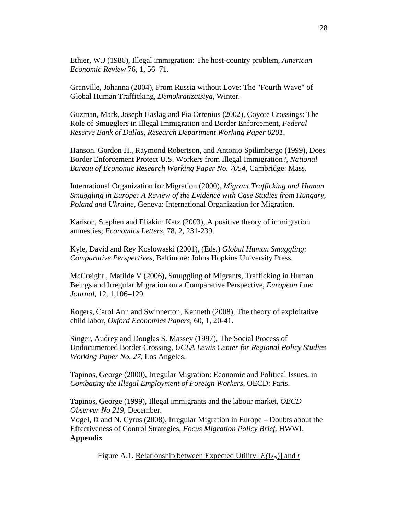Ethier, W.J (1986), Illegal immigration: The host-country problem, *American Economic Review* 76, 1, 56–71.

Granville, Johanna (2004), From Russia without Love: The "Fourth Wave" of Global Human Trafficking, *[Demokratizatsiya](http://findarticles.com/p/articles/mi_qa3996)*, [Winter](http://findarticles.com/p/articles/mi_qa3996/is_200401).

Guzman, Mark, Joseph Haslag and Pia Orrenius (2002), Coyote Crossings: The Role of Smugglers in Illegal Immigration and Border Enforcement, *Federal Reserve Bank of Dallas, Research Department Working Paper 0201*.

Hanson, Gordon H., Raymond Robertson, and Antonio Spilimbergo (1999), Does Border Enforcement Protect U.S. Workers from Illegal Immigration?, *National Bureau of Economic Research Working Paper No. 7054*, Cambridge: Mass.

International Organization for Migration (2000), *Migrant Trafficking and Human Smuggling in Europe: A Review of the Evidence with Case Studies from Hungary, Poland and Ukraine,* Geneva: International Organization for Migration.

Karlson, Stephen and Eliakim Katz (2003), A positive theory of immigration amnesties; *Economics Letters*, 78, 2, 231-239.

Kyle, David and Rey Koslowaski (2001), (Eds.) *Global Human Smuggling: Comparative Perspectives*, Baltimore: Johns Hopkins University Press.

McCreight , Matilde V (2006), Smuggling of Migrants, Trafficking in Human Beings and Irregular Migration on a Comparative Perspective, *European Law Journal,* 12, 1,106–129.

Rogers, Carol Ann and Swinnerton, Kenneth (2008), The theory of exploitative child labor, *Oxford Economics Papers*, 60, 1, 20-41.

Singer, Audrey and Douglas S. Massey (1997), The Social Process of Undocumented Border Crossing, *UCLA Lewis Center for Regional Policy Studies Working Paper No. 27*, Los Angeles.

Tapinos, George (2000), Irregular Migration: Economic and Political Issues, in *Combating the Illegal Employment of Foreign Workers*, OECD: Paris.

Tapinos, George (1999), Illegal immigrants and the labour market, *OECD Observer No 219*, December.

Vogel, D and N. Cyrus (2008), Irregular Migration in Europe – Doubts about the Effectiveness of Control Strategies, *Focus Migration Policy Brief*, HWWI. **Appendix** 

Figure A.1. Relationship between Expected Utility  $[E(U_N)]$  and *t*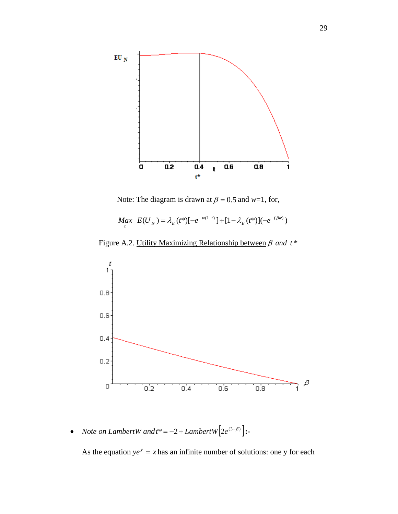

Note: The diagram is drawn at  $\beta = 0.5$  and *w*=1, for,

$$
M_{t}ax E(U_{N}) = \lambda_{E}(t^{*})[-e^{-w(1-t)}]+[1-\lambda_{E}(t^{*})](-e^{-(\beta w)})
$$

Figure A.2. Utility Maximizing Relationship between β and  $t^*$ 



• *Note on LambertW and*  $t^* = -2 + LambertW[2e^{(3-\beta)}]:$ 

As the equation  $ye^y = x$  has an infinite number of solutions: one y for each